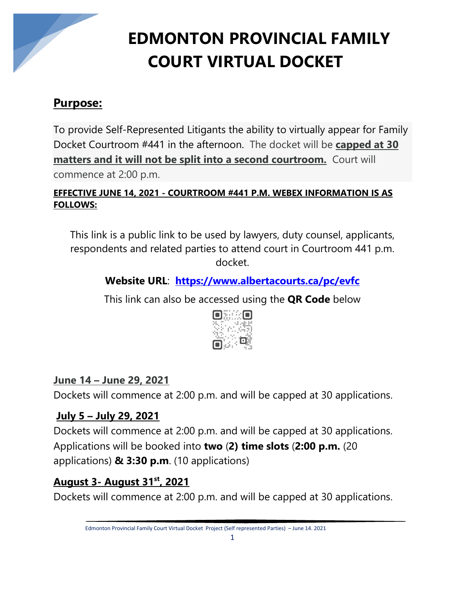

# **EDMONTON PROVINCIAL FAMILY COURT VIRTUAL DOCKET**

## **Purpose:**

To provide Self-Represented Litigants the ability to virtually appear for Family Docket Courtroom #441 in the afternoon. The docket will be **capped at 30 matters and it will not be split into a second courtroom.** Court will commence at 2:00 p.m.

#### **EFFECTIVE JUNE 14, 2021 - COURTROOM #441 P.M. WEBEX INFORMATION IS AS FOLLOWS:**

This link is a public link to be used by lawyers, duty counsel, applicants, respondents and related parties to attend court in Courtroom 441 p.m. docket.

## **Website URL**: **<https://www.albertacourts.ca/pc/evfc>**

This link can also be accessed using the **QR Code** below



#### **June 14 – June 29, 2021**

Dockets will commence at 2:00 p.m. and will be capped at 30 applications.

#### **July 5 – July 29, 2021**

Dockets will commence at 2:00 p.m. and will be capped at 30 applications. Applications will be booked into **two** (**2) time slots** (**2:00 p.m.** (20 applications) **& 3:30 p.m**. (10 applications)

#### **August 3- August 31st, 2021**

Dockets will commence at 2:00 p.m. and will be capped at 30 applications.